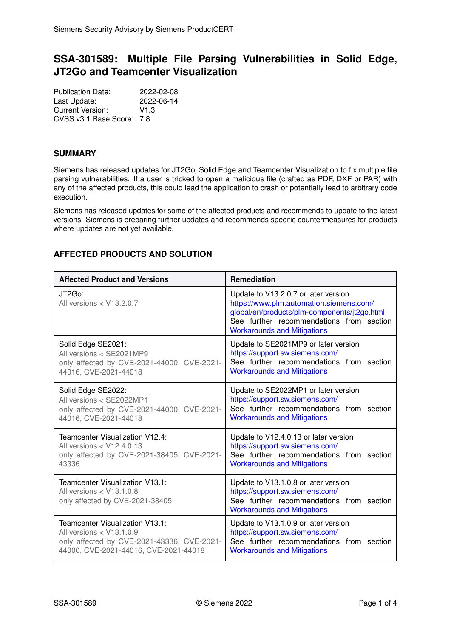# **SSA-301589: Multiple File Parsing Vulnerabilities in Solid Edge, JT2Go and Teamcenter Visualization**

Publication Date: 2022-02-08 Last Update: 2022-06-14 Current Version: V1.3 CVSS v3.1 Base Score: 7.8

## **SUMMARY**

Siemens has released updates for JT2Go, Solid Edge and Teamcenter Visualization to fix multiple file parsing vulnerabilities. If a user is tricked to open a malicious file (crafted as PDF, DXF or PAR) with any of the affected products, this could lead the application to crash or potentially lead to arbitrary code execution.

Siemens has released updates for some of the affected products and recommends to update to the latest versions. Siemens is preparing further updates and recommends specific countermeasures for products where updates are not yet available.

# <span id="page-0-0"></span>**AFFECTED PRODUCTS AND SOLUTION**

| <b>Affected Product and Versions</b>                                                             | Remediation                                                                                                                                                                                                       |
|--------------------------------------------------------------------------------------------------|-------------------------------------------------------------------------------------------------------------------------------------------------------------------------------------------------------------------|
| JT2Go:<br>All versions < V13.2.0.7                                                               | Update to V13.2.0.7 or later version<br>https://www.plm.automation.siemens.com/<br>global/en/products/plm-components/jt2go.html<br>See further recommendations from section<br><b>Workarounds and Mitigations</b> |
| Solid Edge SE2021:                                                                               | Update to SE2021MP9 or later version                                                                                                                                                                              |
| All versions < SE2021MP9                                                                         | https://support.sw.siemens.com/                                                                                                                                                                                   |
| only affected by CVE-2021-44000, CVE-2021-                                                       | See further recommendations from section                                                                                                                                                                          |
| 44016, CVE-2021-44018                                                                            | <b>Workarounds and Mitigations</b>                                                                                                                                                                                |
| Solid Edge SE2022:                                                                               | Update to SE2022MP1 or later version                                                                                                                                                                              |
| All versions < SE2022MP1                                                                         | https://support.sw.siemens.com/                                                                                                                                                                                   |
| only affected by CVE-2021-44000, CVE-2021-                                                       | See further recommendations from section                                                                                                                                                                          |
| 44016, CVE-2021-44018                                                                            | <b>Workarounds and Mitigations</b>                                                                                                                                                                                |
| Teamcenter Visualization V12.4:                                                                  | Update to V12.4.0.13 or later version                                                                                                                                                                             |
| All versions < V12.4.0.13                                                                        | https://support.sw.siemens.com/                                                                                                                                                                                   |
| only affected by CVE-2021-38405, CVE-2021-                                                       | See further recommendations from section                                                                                                                                                                          |
| 43336                                                                                            | <b>Workarounds and Mitigations</b>                                                                                                                                                                                |
| Teamcenter Visualization V13.1:<br>All versions $<$ V13.1.0.8<br>only affected by CVE-2021-38405 | Update to V13.1.0.8 or later version<br>https://support.sw.siemens.com/<br>See further recommendations from section<br><b>Workarounds and Mitigations</b>                                                         |
| Teamcenter Visualization V13.1:                                                                  | Update to V13.1.0.9 or later version                                                                                                                                                                              |
| All versions $<$ V13.1.0.9                                                                       | https://support.sw.siemens.com/                                                                                                                                                                                   |
| only affected by CVE-2021-43336, CVE-2021-                                                       | See further recommendations from section                                                                                                                                                                          |
| 44000, CVE-2021-44016, CVE-2021-44018                                                            | <b>Workarounds and Mitigations</b>                                                                                                                                                                                |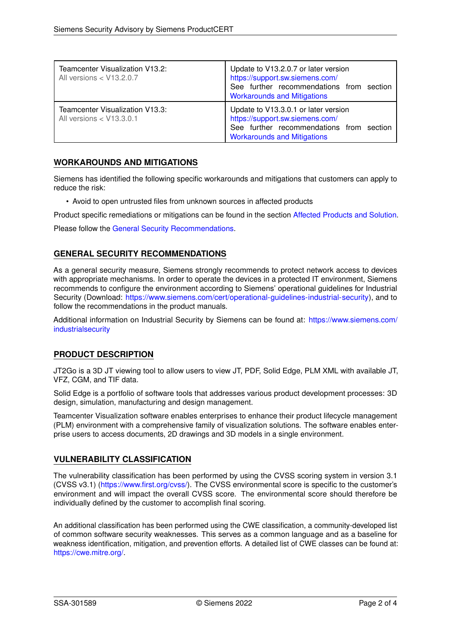| Teamcenter Visualization V13.2:<br>All versions $<$ V13.2.0.7 | Update to V13.2.0.7 or later version<br>https://support.sw.siemens.com/<br>See further recommendations from section<br><b>Workarounds and Mitigations</b> |
|---------------------------------------------------------------|-----------------------------------------------------------------------------------------------------------------------------------------------------------|
| Teamcenter Visualization V13.3:<br>All versions $<$ V13.3.0.1 | Update to V13.3.0.1 or later version<br>https://support.sw.siemens.com/<br>See further recommendations from section<br><b>Workarounds and Mitigations</b> |

# <span id="page-1-0"></span>**WORKAROUNDS AND MITIGATIONS**

Siemens has identified the following specific workarounds and mitigations that customers can apply to reduce the risk:

• Avoid to open untrusted files from unknown sources in affected products

Product specific remediations or mitigations can be found in the section [Affected Products and Solution.](#page-0-0)

<span id="page-1-1"></span>Please follow the [General Security Recommendations.](#page-1-1)

# **GENERAL SECURITY RECOMMENDATIONS**

As a general security measure, Siemens strongly recommends to protect network access to devices with appropriate mechanisms. In order to operate the devices in a protected IT environment, Siemens recommends to configure the environment according to Siemens' operational guidelines for Industrial Security (Download: [https://www.siemens.com/cert/operational-guidelines-industrial-security\)](https://www.siemens.com/cert/operational-guidelines-industrial-security), and to follow the recommendations in the product manuals.

Additional information on Industrial Security by Siemens can be found at: [https://www.siemens.com/](https://www.siemens.com/industrialsecurity) [industrialsecurity](https://www.siemens.com/industrialsecurity)

# **PRODUCT DESCRIPTION**

JT2Go is a 3D JT viewing tool to allow users to view JT, PDF, Solid Edge, PLM XML with available JT, VFZ, CGM, and TIF data.

Solid Edge is a portfolio of software tools that addresses various product development processes: 3D design, simulation, manufacturing and design management.

Teamcenter Visualization software enables enterprises to enhance their product lifecycle management (PLM) environment with a comprehensive family of visualization solutions. The software enables enterprise users to access documents, 2D drawings and 3D models in a single environment.

### **VULNERABILITY CLASSIFICATION**

The vulnerability classification has been performed by using the CVSS scoring system in version 3.1 (CVSS v3.1) [\(https://www.first.org/cvss/\)](https://www.first.org/cvss/). The CVSS environmental score is specific to the customer's environment and will impact the overall CVSS score. The environmental score should therefore be individually defined by the customer to accomplish final scoring.

An additional classification has been performed using the CWE classification, a community-developed list of common software security weaknesses. This serves as a common language and as a baseline for weakness identification, mitigation, and prevention efforts. A detailed list of CWE classes can be found at: [https://cwe.mitre.org/.](https://cwe.mitre.org/)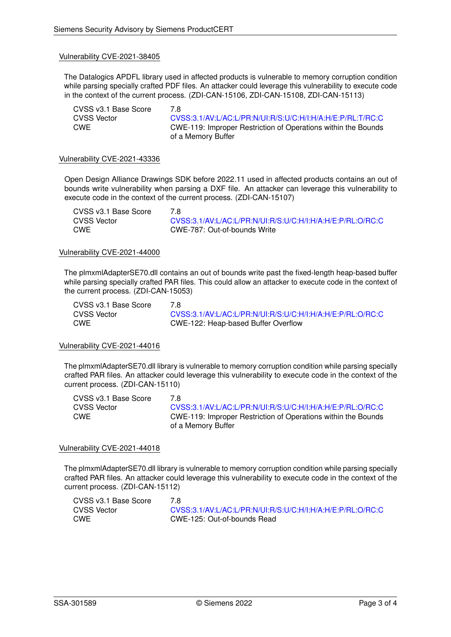#### Vulnerability CVE-2021-38405

The Datalogics APDFL library used in affected products is vulnerable to memory corruption condition while parsing specially crafted PDF files. An attacker could leverage this vulnerability to execute code in the context of the current process. (ZDI-CAN-15106, ZDI-CAN-15108, ZDI-CAN-15113)

| CVSS v3.1 Base Score | 7 R                                                                  |
|----------------------|----------------------------------------------------------------------|
| CVSS Vector          | CVSS:3.1/AV:L/AC:L/PR:N/UI:R/S:U/C:H/I:H/A:H/E:P/RL:T/RC:C           |
| CWE                  | <b>CWE-119: Improper Restriction of Operations within the Bounds</b> |
|                      | of a Memory Buffer                                                   |

#### Vulnerability CVE-2021-43336

Open Design Alliance Drawings SDK before 2022.11 used in affected products contains an out of bounds write vulnerability when parsing a DXF file. An attacker can leverage this vulnerability to execute code in the context of the current process. (ZDI-CAN-15107)

| CVSS v3.1 Base Score | 7 R                                                        |
|----------------------|------------------------------------------------------------|
| CVSS Vector          | CVSS:3.1/AV:L/AC:L/PR:N/UI:R/S:U/C:H/I:H/A:H/E:P/RL:O/RC:C |
| CWE                  | CWE-787: Out-of-bounds Write                               |

#### Vulnerability CVE-2021-44000

The plmxmlAdapterSE70.dll contains an out of bounds write past the fixed-length heap-based buffer while parsing specially crafted PAR files. This could allow an attacker to execute code in the context of the current process. (ZDI-CAN-15053)

CVSS v3.1 Base Score 7.8

CVSS Vector [CVSS:3.1/AV:L/AC:L/PR:N/UI:R/S:U/C:H/I:H/A:H/E:P/RL:O/RC:C](https://www.first.org/cvss/calculator/3.1#CVSS:3.1/AV:L/AC:L/PR:N/UI:R/S:U/C:H/I:H/A:H/E:P/RL:O/RC:C) CWE CWE-122: Heap-based Buffer Overflow

#### Vulnerability CVE-2021-44016

The plmxmlAdapterSE70.dll library is vulnerable to memory corruption condition while parsing specially crafted PAR files. An attacker could leverage this vulnerability to execute code in the context of the current process. (ZDI-CAN-15110)

CVSS v3.1 Base Score 7.8 CVSS Vector [CVSS:3.1/AV:L/AC:L/PR:N/UI:R/S:U/C:H/I:H/A:H/E:P/RL:O/RC:C](https://www.first.org/cvss/calculator/3.1#CVSS:3.1/AV:L/AC:L/PR:N/UI:R/S:U/C:H/I:H/A:H/E:P/RL:O/RC:C) CWE CWE-119: Improper Restriction of Operations within the Bounds of a Memory Buffer

#### Vulnerability CVE-2021-44018

The plmxmlAdapterSE70.dll library is vulnerable to memory corruption condition while parsing specially crafted PAR files. An attacker could leverage this vulnerability to execute code in the context of the current process. (ZDI-CAN-15112)

| CVSS v3.1 Base Score |                                                            |
|----------------------|------------------------------------------------------------|
| CVSS Vector          | CVSS:3.1/AV:L/AC:L/PR:N/UI:R/S:U/C:H/I:H/A:H/E:P/RL:O/RC:C |
| CWE                  | CWE-125: Out-of-bounds Read                                |